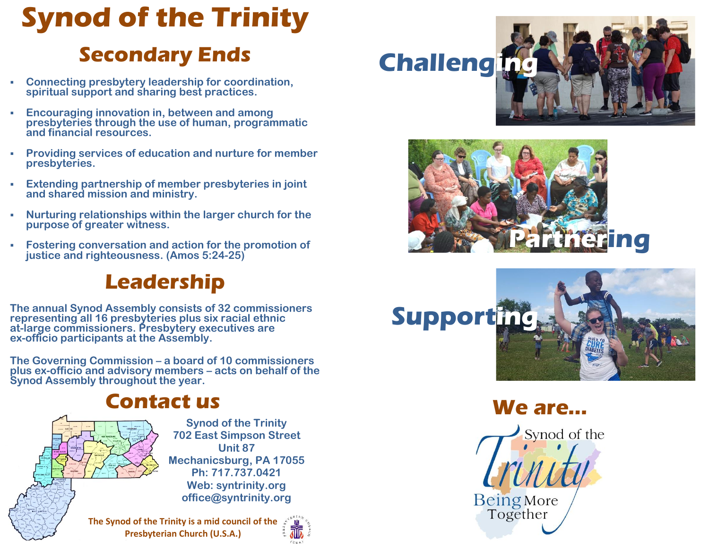## **Synod of the Trinity**

## **Secondary Ends**

- **Connecting presbytery leadership for coordination, spiritual support and sharing best practices.**
- **Encouraging innovation in, between and among presbyteries through the use of human, programmatic and financial resources.**
- **Providing services of education and nurture for member presbyteries.**
- **Extending partnership of member presbyteries in joint and shared mission and ministry.**
- **Nurturing relationships within the larger church for the purpose of greater witness.**
- **Fostering conversation and action for the promotion of justice and righteousness. (Amos 5:24-25)**

## **Leadership**

**The annual Synod Assembly consists of 32 commissioners representing all 16 presbyteries plus six racial ethnic at-large commissioners. Presbytery executives are ex-officio participants at the Assembly.**

**The Governing Commission – a board of 10 commissioners plus ex-officio and advisory members – acts on behalf of the Synod Assembly throughout the year.**

### **Contact us**



**Synod of the Trinity 702 East Simpson Street Unit 87 Mechanicsburg, PA 17055 Ph: 717.737.0421 Web: syntrinity.org office@syntrinity.org**

**The Synod of the Trinity is a mid council of the Presbyterian Church (U.S.A.)**



# **Challenging**